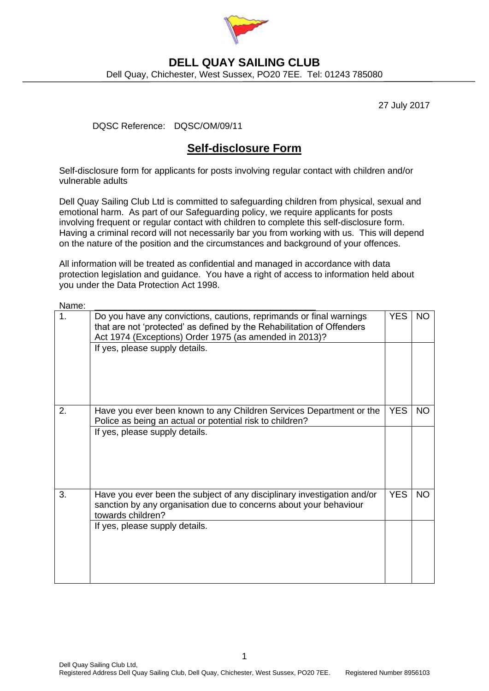

## **DELL QUAY SAILING CLUB** Dell Quay, Chichester, West Sussex, PO20 7EE. Tel: 01243 785080

27 July 2017

DQSC Reference: DQSC/OM/09/11

## **Self-disclosure Form**

Self-disclosure form for applicants for posts involving regular contact with children and/or vulnerable adults

Dell Quay Sailing Club Ltd is committed to safeguarding children from physical, sexual and emotional harm. As part of our Safeguarding policy, we require applicants for posts involving frequent or regular contact with children to complete this self-disclosure form. Having a criminal record will not necessarily bar you from working with us. This will depend on the nature of the position and the circumstances and background of your offences.

All information will be treated as confidential and managed in accordance with data protection legislation and guidance. You have a right of access to information held about you under the Data Protection Act 1998.

| Name: |                                                                                                                                                                                                         |            |           |
|-------|---------------------------------------------------------------------------------------------------------------------------------------------------------------------------------------------------------|------------|-----------|
| 1.    | Do you have any convictions, cautions, reprimands or final warnings<br>that are not 'protected' as defined by the Rehabilitation of Offenders<br>Act 1974 (Exceptions) Order 1975 (as amended in 2013)? | <b>YES</b> | <b>NO</b> |
|       | If yes, please supply details.                                                                                                                                                                          |            |           |
| 2.    | Have you ever been known to any Children Services Department or the<br>Police as being an actual or potential risk to children?                                                                         | <b>YES</b> | <b>NO</b> |
|       | If yes, please supply details.                                                                                                                                                                          |            |           |
| 3.    | Have you ever been the subject of any disciplinary investigation and/or<br>sanction by any organisation due to concerns about your behaviour<br>towards children?                                       | <b>YES</b> | <b>NO</b> |
|       | If yes, please supply details.                                                                                                                                                                          |            |           |